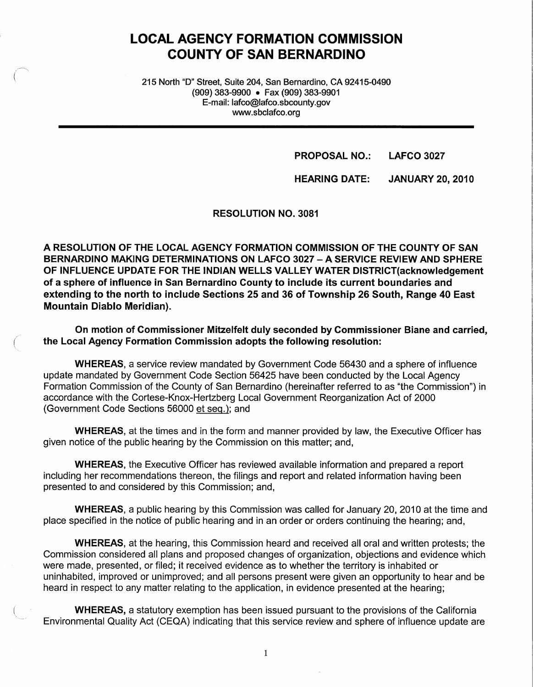# **LOCAL AGENCY FORMATION COMMISSION COUNTY OF SAN BERNARDINO**

215 North "D" Street, Suite 204, San Bernardino, CA 92415-0490 (909) 383-9900 • Fax (909) 383-9901 E-mail: lafco@lafco.sbcounty.gov www.sbclafco.org

> **PROPOSAL NO.: LAFCO 3027**

**HEARING DATE: JANUARY 20, 2010** 

**RESOLUTION NO. 3081** 

**A RESOLUTION OF THE LOCAL AGENCY FORMATION COMMISSION OF THE COUNTY OF SAN BERNARDINO MAKING DETERMINATIONS ON LAFCO 3027** - **A SERVICE REVIEW AND SPHERE OF INFLUENCE UPDATE FOR THE INDIAN WELLS VALLEY WATER DISTRICT(acknowledgement of a sphere of influence in San Bernardino County to include its current boundaries and extending to the north to include Sections 25 and 36 of Township 26 South, Range 40 East Mountain Diablo Meridian).** 

**On motion of Commissioner Mitzelfelt duly seconded by Commissioner Biane and carried,**  ( **the Local Agency Formation Commission adopts the following resolution:** 

**WHEREAS,** a service review mandated by Government Code 56430 and a sphere of influence update mandated by Government Code Section 56425 have been conducted by the Local Agency Formation Commission of the County of San Bernardino (hereinafter referred to as "the Commission") in accordance with the Cortese-Knox-Hertzberg Local Government Reorganization Act of 2000 (Government Code Sections 56000 et seq.): and

**WHEREAS,** at the times and in the form and manner provided by law, the Executive Officer has given notice of the public hearing by the Commission on this matter; and,

**WHEREAS,** the Executive Officer has reviewed available information and prepared a report including her recommendations thereon, the filings and report and related information having been presented to and considered by this Commission; and,

**WHEREAS,** a public hearing by this Commission was called for January 20, 2010 at the time and place specified in the notice of public hearing and in an order or orders continuing the hearing; and,

**WHEREAS,** at the hearing, this Commission heard and received all oral and written protests; the Commission considered all plans and proposed changes of organization, objections and evidence which were made, presented, or filed; it received evidence as to whether the territory is inhabited or uninhabited, improved or unimproved; and all persons present were given an opportunity to hear and be heard in respect to any matter relating to the application, in evidence presented at the hearing;

**WHEREAS,** a statutory exemption has been issued pursuant to the provisions of the California Environmental Quality Act (CEQA) indicating that this service review and sphere of influence update are

1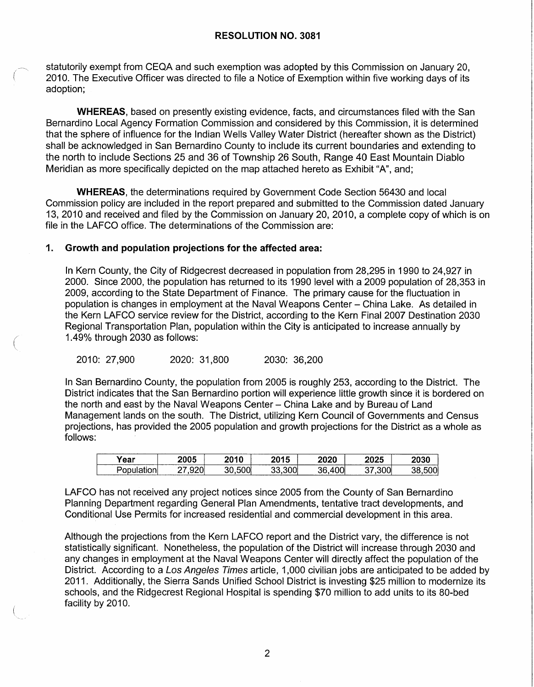#### **RESOLUTION NO. 3081**

statutorily exempt from CEQA and such exemption was adopted by this Commission on January 20, 2010. The Executive Officer was directed to file a Notice of Exemption within five working days of its adoption;

**WHEREAS,** based on presently existing evidence, facts, and circumstances filed with the San Bernardino Local Agency Formation Commission and considered by this Commission, it is determined that the sphere of influence for the Indian Wells Valley Water District (hereafter shown as the District) shall be acknowledged in San Bernardino County to include its current boundaries and extending to the north to include Sections 25 and 36 of Township 26 South, Range 40 East Mountain Diablo Meridian as more specifically depicted on the map attached hereto as Exhibit "A", and;

**WHEREAS,** the determinations required by Government Code Section 56430 and local Commission policy are included in the report prepared and submitted to the Commission dated January 13, 2010 and received and filed by the Commission on January 20, 2010, a complete copy of which is on file in the LAFCO office. The determinations of the Commission are:

#### **1. Growth and population projections for the affected area:**

In Kern County, the City of Ridgecrest decreased in population from 28,295 in 1990 to 24,927 in 2000. Since 2000, the population has returned to its 1990 level with a 2009 population of 28,353 in 2009, according to the State Department of Finance. The primary cause for the fluctuation in population is changes in employment at the Naval Weapons Center - China Lake. As detailed in the Kern LAFCO service review for the District, according to the Kern Final 2007 Destination 2030 Regional Transportation Plan, population within the City is anticipated to increase annually by ( 1.49% through 2030 as follows:

2010: 27,900 2020: 31,800 2030: 36,200

In San Bernardino County, the population from 2005 is roughly 253, according to the District. The District indicates that the San Bernardino portion will experience little growth since it is bordered on the north and east by the Naval Weapons Center - China Lake and by Bureau of Land Management lands on the south. The District, utilizing Kern Council of Governments and Census projections, has provided the 2005 population and growth projections for the District as a whole as follows:

| 'ear | へへへこ<br>2005 | ה והר | 2015        | nnnn               | 2025       | 2030 |
|------|--------------|-------|-------------|--------------------|------------|------|
| $ -$ | $\sim$       |       | $\sim$<br>ົ | $\sim$ $\sim$<br>. | nnni<br>ЭU |      |

LAFCO has not received any project notices since 2005 from the County of San Bernardino Planning Department regarding General Plan Amendments, tentative tract developments, and Conditional Use Permits for increased residential and commercial development in this area.

Although the projections from the Kern LAFCO report and the District vary, the difference is not statistically significant. Nonetheless, the population of the District will increase through 2030 and any changes in employment at the Naval Weapons Center will directly affect the population of the District. According to a Los Angeles Times article, 1,000 civilian jobs are anticipated to be added by 2011. Additionally, the Sierra Sands Unified School District is investing \$25 million to modernize its schools, and the Ridgecrest Regional Hospital is spending \$70 million to add units to its 80-bed facility by 2010.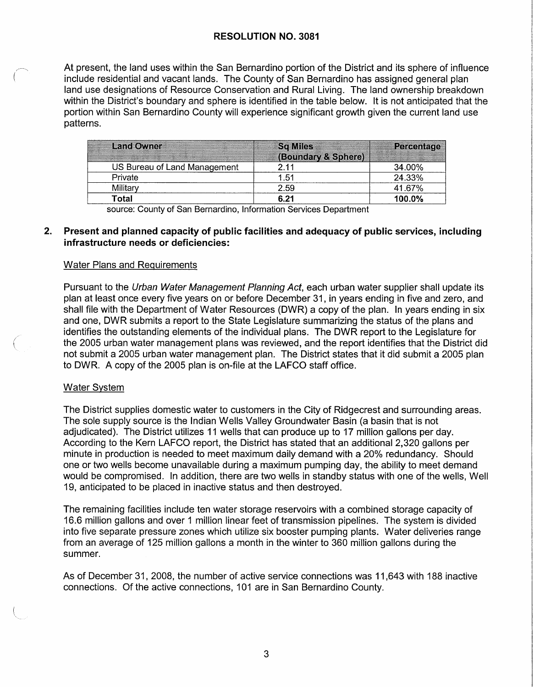At present, the land uses within the San Bernardino portion of the District and its sphere of influence include residential and vacant lands. The County of San Bernardino has assigned general plan land use designations of Resource Conservation and Rural Living. The land ownership breakdown within the District's boundary and sphere is identified in the table below. It is not anticipated that the portion within San Bernardino County will experience significant growth given the current land use patterns.

| <b>Land Owner</b>            | <b>Sq Miles</b><br>(Boundary & Sphere) | Percentage |
|------------------------------|----------------------------------------|------------|
| US Bureau of Land Management |                                        | 34.00%     |
| Private                      | 1.51                                   | 24.33%     |
| Militar                      | 2.59                                   | 41.67%     |
| Total                        | 6.21                                   | 100.0%     |

source: County of San Bernardino, Information Services Department

#### **2. Present and planned capacity of public facilities and adequacy of public services, including infrastructure needs or deficiencies:**

#### Water Plans and Requirements

Pursuant to the Urban Water Management Planning Act, each urban water supplier shall update its plan at least once every five years on or before December 31, in years ending in five and zero, and shall file with the Department of Water Resources (DWR) a copy of the plan. In years ending in six and one, DWR submits a report to the State Legislature summarizing the status of the plans and identifies the outstanding elements of the individual plans. The DWR report to the Legislature for the 2005 urban water management plans was reviewed, and the report identifies that the District did not submit a 2005 urban water management plan. The District states that it did submit a 2005 plan to DWR. A copy of the 2005 plan is on-file at the LAFCO staff office.

#### Water System

The District supplies domestic water to customers in the City of Ridgecrest and surrounding areas. The sole supply source is the Indian Wells Valley Groundwater Basin (a basin that is not adjudicated). The District utilizes 11 wells that can produce up to 17 million gallons per day. According to the Kern LAFCO report, the District has stated that an additional 2,320 gallons per minute in production is needed to meet maximum daily demand with a 20% redundancy. Should one or two wells become unavailable during a maximum pumping day, the ability to meet demand would be compromised. In addition, there are two wells in standby status with one of the wells, Well 19, anticipated to be placed in inactive status and then destroyed.

The remaining facilities include ten water storage reservoirs with a combined storage capacity of 16.6 million gallons and over 1 million linear feet of transmission pipelines. The system is divided into five separate pressure zones which utilize six booster pumping plants. Water deliveries range from an average of 125 million gallons a month in the winter to 360 million gallons during the summer.

As of December 31, 2008, the number of active service connections was 11,643 with 188 inactive connections. Of the active connections, 101 are in San Bernardino County.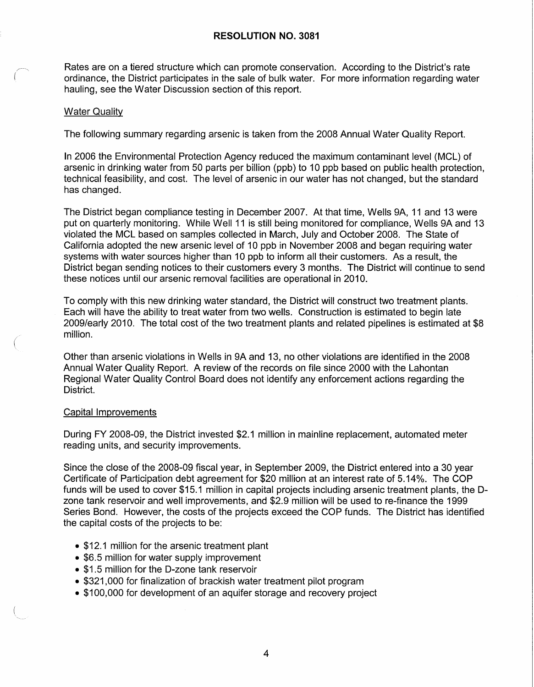#### **RESOLUTION NO. 3081**

Rates are on a tiered structure which can promote conservation. According to the District's rate ordinance, the District participates in the sale of bulk water. For more information regarding water hauling, see the Water Discussion section of this report.

#### Water Quality

The following summary regarding arsenic is taken from the 2008 Annual Water Quality Report.

In 2006 the Environmental Protection Agency reduced the maximum contaminant level (MCL) of arsenic in drinking water from 50 parts per billion (ppb) to 10 ppb based on public health protection, technical feasibility, and cost. The level of arsenic in our water has not changed, but the standard has changed.

The District began compliance testing in December 2007. At that time, Wells 9A, 11 and 13 were put on quarterly monitoring. While Well 11 is still being monitored for compliance, Wells 9A and 13 violated the MCL based on samples collected in March, July and October 2008. The State of California adopted the new arsenic level of 10 ppb in November 2008 and began requiring water systems with water sources higher than 10 ppb to inform all their customers. As a result, the District began sending notices to their customers every 3 months. The District will continue to send these notices until our arsenic removal facilities are operational in 2010.

To comply with this new drinking water standard, the District will construct two treatment plants. Each will have the ability to treat water from two wells. Construction is estimated to begin late 2009/early 2010. The total cost of the two treatment plants and related pipelines is estimated at \$8 million.

Other than arsenic violations in Wells in 9A and 13, no other violations are identified in the 2008 Annual Water Quality Report. A review of the records on file since 2000 with the Lahontan Regional Water Quality Control Board does not identify any enforcement actions regarding the District.

#### Capital Improvements

(

During FY 2008-09, the District invested \$2.1 million in mainline replacement, automated meter reading units, and security improvements.

Since the close of the 2008-09 fiscal year, in September 2009, the District entered into a 30 year Certificate of Participation debt agreement for \$20 million at an interest rate of 5.14%. The COP funds will be used to cover \$15.1 million in capital projects including arsenic treatment plants, the Ozone tank reservoir and well improvements, and \$2.9 million will be used to re-finance the 1999 Series Bond. However, the costs of the projects exceed the COP funds. The District has identified the capital costs of the projects to be:

- \$12.1 million for the arsenic treatment plant
- \$6.5 million for water supply improvement
- \$1.5 million for the D-zone tank reservoir
- \$321,000 for finalization of brackish water treatment pilot program
- \$100,000 for development of an aquifer storage and recovery project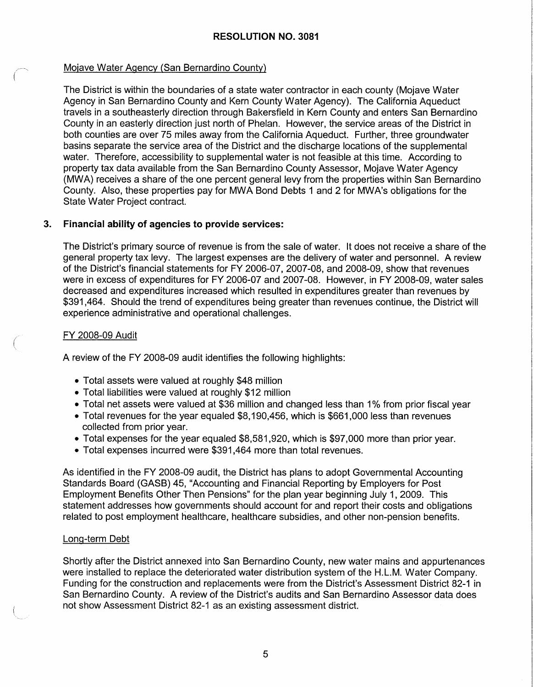# Mojave Water Agency (San Bernardino County)

The District is within the boundaries of a state water contractor in each county (Mojave Water Agency in San Bernardino County and Kern County Water Agency). The California Aqueduct travels in a southeasterly direction through Bakersfield in Kern County and enters San Bernardino County in an easterly direction just north of Phelan. However, the service areas of the District in both counties are over 75 miles away from the California Aqueduct. Further, three groundwater basins separate the service area of the District and the discharge locations of the supplemental water. Therefore, accessibility to supplemental water is not feasible at this time. According to property tax data available from the San Bernardino County Assessor, Mojave Water Agency (MWA) receives a share of the one percent general levy from the properties within San Bernardino County. Also, these properties pay for MWA Bond Debts 1 and 2 for MWA's obligations for the State Water Project contract.

# **3. Financial ability of agencies to provide services:**

The District's primary source of revenue is from the sale of water. It does not receive a share of the general property tax levy. The largest expenses are the delivery of water and personnel. A review of the District's financial statements for FY 2006-07, 2007-08, and 2008-09, show that revenues were in excess of expenditures for FY 2006-07 and 2007-08. However, in FY 2008-09, water sales decreased and expenditures increased which resulted in expenditures greater than revenues by \$391,464. Should the trend of expenditures being greater than revenues continue, the District will experience administrative and operational challenges.

# FY 2008-09 Audit

(  $\overline{\phantom{a}}$ 

A review of the FY 2008-09 audit identifies the following highlights:

- Total assets were valued at roughly \$48 million
- Total liabilities were valued at roughly \$12 million
- Total net assets were valued at \$36 million and changed less than 1% from prior fiscal year
- Total revenues for the year equaled \$8,190,456, which is \$661,000 less than revenues collected from prior year.
- Total expenses for the year equaled \$8,581,920, which is \$97,000 more than prior year.
- Total expenses incurred were \$391,464 more than total revenues.

As identified in the FY 2008-09 audit, the District has plans to adopt Governmental Accounting Standards Board (GASB) 45, "Accounting and Financial Reporting by Employers for Post Employment Benefits Other Then Pensions" for the plan year beginning July 1, 2009. This statement addresses how governments should account for and report their costs and obligations related to post employment healthcare, healthcare subsidies, and other non-pension benefits.

# Long-term Debt

Shortly after the District annexed into San Bernardino County, new water mains and appurtenances were installed to replace the deteriorated water distribution system of the H.L.M. Water Company. Funding for the construction and replacements were from the District's Assessment District 82-1 in San Bernardino County. A review of the District's audits and San Bernardino Assessor data does not show Assessment District 82-1 as an existing assessment district.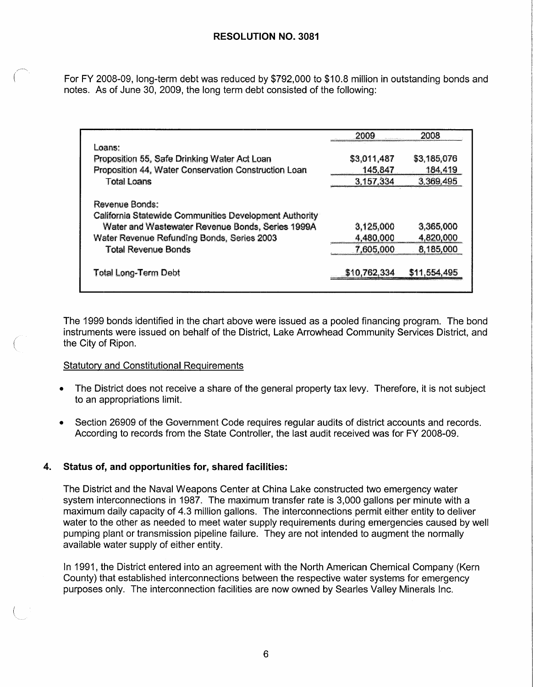For FY 2008-09, long-term debt was reduced by \$792,000 to \$10.8 million in outstanding bonds and notes. As of June 30, 2009, the long term debt consisted of the following:

|                                                        | 2009         | 2008         |
|--------------------------------------------------------|--------------|--------------|
| Loans:<br>Proposition 55, Safe Drinking Water Act Loan | \$3,011,487  | \$3,185,076  |
| Proposition 44, Water Conservation Construction Loan   | 145,847      | 184,419      |
| <b>Total Loans</b>                                     | 3.157,334    | 3,369,495    |
| Revenue Bonds:                                         |              |              |
| California Statewide Communities Development Authority |              |              |
| Water and Wastewater Revenue Bonds, Series 1999A       | 3,125,000    | 3,365,000    |
| Water Revenue Refunding Bonds, Series 2003             | 4,480,000    | 4,820,000    |
| <b>Total Revenue Bonds</b>                             | 7,605,000    | 8,185,000    |
| <b>Total Long-Term Debt</b>                            | \$10,762,334 | \$11,554,495 |

The 1999 bonds identified in the chart above were issued as a pooled financing program. The bond instruments were issued on behalf of the District, Lake Arrowhead Community Services District, and the City of Ripon.

# Statutory and Constitutional Requirements

*(*   $\checkmark$ 

- The District does not receive a share of the general property tax levy. Therefore, it is not subject to an appropriations limit.
- Section 26909 of the Government Code requires regular audits of district accounts and records. According to records from the State Controller, the last audit received was for FY 2008-09.

# **4. Status of, and opportunities for, shared facilities:**

The District and the Naval Weapons Center at China Lake constructed two emergency water system interconnections in 1987. The maximum transfer rate is 3,000 gallons per minute with a maximum daily capacity of 4.3 million gallons. The interconnections permit either entity to deliver water to the other as needed to meet water supply requirements during emergencies caused by well pumping plant or transmission pipeline failure. They are not intended to augment the normally available water supply of either entity.

In 1991, the District entered into an agreement with the North American Chemical Company (Kern County) that established interconnections between the respective water systems for emergency purposes only. The interconnection facilities are now owned by Searles Valley Minerals Inc.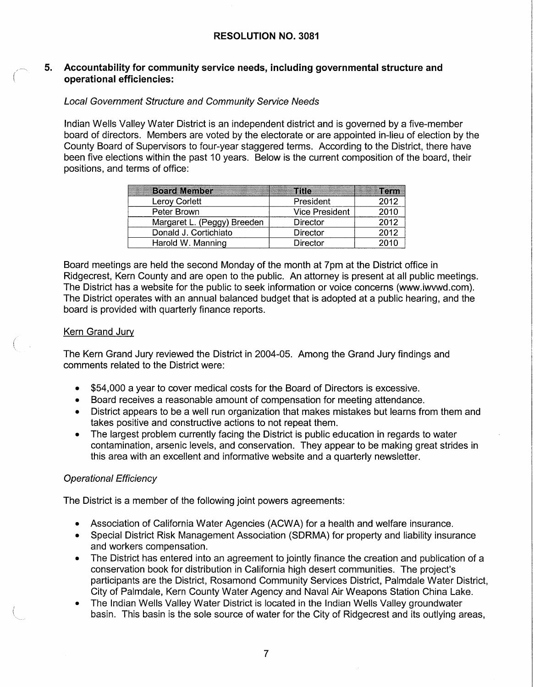#### **5. Accountability for community service needs, including governmental structure and operational efficiencies:**

# Local Government Structure and Community Service Needs

Indian Wells Valley Water District is an independent district and is governed by a five-member board of directors. Members are voted by the electorate or are appointed in-lieu of election by the County Board of Supervisors to four-year staggered terms. According to the District, there have been five elections within the past 10 years. Below is the current composition of the board, their positions, and terms of office:

| <b>Board Member</b>         | <b>Title</b>          | "erm |
|-----------------------------|-----------------------|------|
| Leroy Corlett               | President             | 2012 |
| Peter Brown                 | <b>Vice President</b> | 2010 |
| Margaret L. (Peggy) Breeden | <b>Director</b>       | 2012 |
| Donald J. Cortichiato       | Director              | 2012 |
| Harold W. Manning           | <b>Director</b>       | 2010 |

Board meetings are held the second Monday of the month at 7pm at the District office in Ridgecrest, Kern County and are open to the public. An attorney is present at all public meetings. The District has a website for the public to seek information or voice concerns (www.iwvwd.com). The District operates with an annual balanced budget that is adopted at a public hearing, and the board is provided with quarterly finance reports.

# Kern Grand Jury

(  $\checkmark$ 

The Kern Grand Jury reviewed the District in 2004-05. Among the Grand Jury findings and comments related to the District were:

- \$54,000 a year to cover medical costs for the Board of Directors is excessive.
- Board receives a reasonable amount of compensation for meeting attendance.
- District appears to be a well run organization that makes mistakes but learns from them and takes positive and constructive actions to not repeat them.
- The largest problem currently facing the District is public education in regards to water contamination, arsenic levels, and conservation. They appear to be making great strides in this area with an excellent and informative website and a quarterly newsletter.

# Operational Efficiency

The District is a member of the following joint powers agreements:

- Association of California Water Agencies (ACWA) for a health and welfare insurance.
- Special District Risk Management Association (SDRMA) for property and liability insurance and workers compensation.
- The District has entered into an agreement to jointly finance the creation and publication of a conservation book for distribution in California high desert communities. The project's participants are the District, Rosamond Community Services District, Palmdale Water District, City of Palmdale, Kern County Water Agency and Naval Air Weapons Station China Lake.
- The Indian Wells Valley Water District is located in the Indian Wells Valley groundwater basin. This basin is the sole source of water for the City of Ridgecrest and its outlying areas,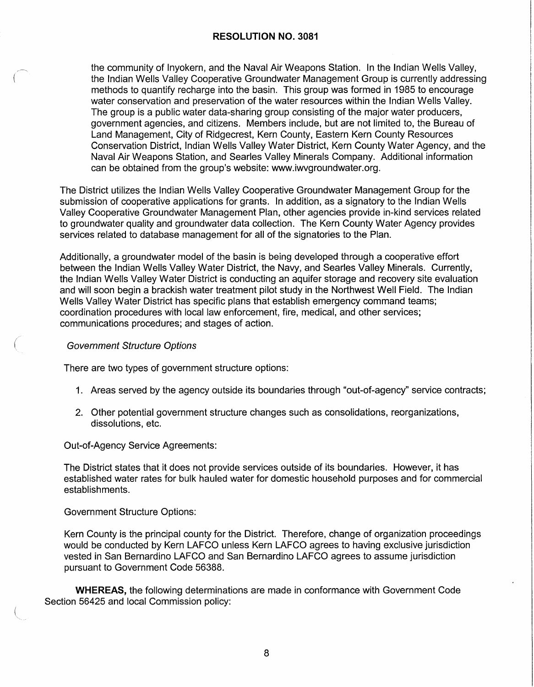the community of lnyokern, and the Naval Air Weapons Station. In the Indian Wells Valley, the Indian Wells Valley Cooperative Groundwater Management Group is currently addressing methods to quantify recharge into the basin. This group was formed in 1985 to encourage water conservation and preservation of the water resources within the Indian Wells Valley. The group is a public water data-sharing group consisting of the major water producers, government agencies, and citizens. Members include, but are not limited to, the Bureau of Land Management, City of Ridgecrest, Kern County, Eastern Kern County Resources Conservation District, Indian Wells Valley Water District, Kern County Water Agency, and the Naval Air Weapons Station, and Searles Valley Minerals Company. Additional information can be obtained from the group's website: www.iwvgroundwater.org.

The District utilizes the Indian Wells Valley Cooperative Groundwater Management Group for the submission of cooperative applications for grants. In addition, as a signatory to the Indian Wells Valley Cooperative Groundwater Management Plan, other agencies provide in-kind services related to groundwater quality and groundwater data collection. The Kern County Water Agency provides services related to database management for all of the signatories to the Plan.

Additionally, a groundwater model of the basin is being developed through a cooperative effort between the Indian Wells Valley Water District, the Navy, and Searles Valley Minerals. Currently, the Indian Wells Valley Water District is conducting an aquifer storage and recovery site evaluation and will soon begin a brackish water treatment pilot study in the Northwest Well Field. The Indian Wells Valley Water District has specific plans that establish emergency command teams; coordination procedures with local law enforcement, fire, medical, and other services; communications procedures; and stages of action.

#### Government Structure Options

(

There are two types of government structure options:

- 1. Areas served by the agency outside its boundaries through "out-of-agency" service contracts;
- 2. Other potential government structure changes such as consolidations, reorganizations, dissolutions, etc.

Out-of-Agency Service Agreements:

The District states that it does not provide services outside of its boundaries. However, it has established water rates for bulk hauled water for domestic household purposes and for commercial establishments.

Government Structure Options:

Kern County is the principal county for the District. Therefore, change of organization proceedings would be conducted by Kern LAFCO unless Kern LAFCO agrees to having exclusive jurisdiction vested in San Bernardino LAFCO and San Bernardino LAFCO agrees to assume jurisdiction pursuant to Government Code 56388.

**WHEREAS,** the following determinations are made in conformance with Government Code Section 56425 and local Commission policy: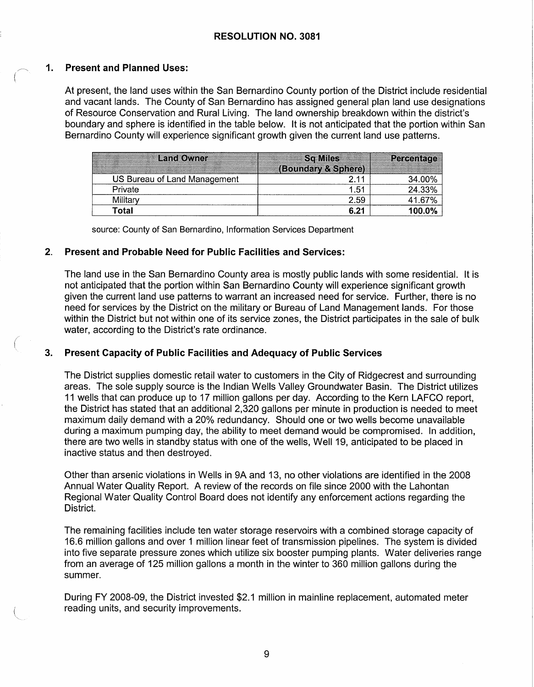# **1. Present and Planned Uses:**

*(* 

At present, the land uses within the San Bernardino County portion of the District include residential and vacant lands. The County of San Bernardino has assigned general plan land use designations of Resource Conservation and Rural Living. The land ownership breakdown within the district's boundary and sphere is identified in the table below. It is not anticipated that the portion within San Bernardino County will experience significant growth given the current land use patterns.

| <b>Land Owner</b>            | <b>Sq Miles</b>     | <b>Percentage</b> |
|------------------------------|---------------------|-------------------|
|                              | (Boundary & Sphere) |                   |
| US Bureau of Land Management |                     | 34.00%            |
| Private                      | 1.51                | 24.33%            |
| Military                     | 2.59                | 41.67%            |
| Total                        | 6.21                | 100.0%            |

source: County of San Bernardino, Information Services Department

#### **2. Present and Probable Need for Public Facilities and Services:**

The land use in the San Bernardino County area is mostly public lands with some residential. It is not anticipated that the portion within San Bernardino County will experience significant growth given the current land use patterns to warrant an increased need for service. Further, there is no need for services by the District on the military or Bureau of Land Management lands. For those within the District but not within one of its service zones, the District participates in the sale of bulk water, according to the District's rate ordinance.

# **3. Present Capacity of Public Facilities and Adequacy of Public Services**

The District supplies domestic retail water to customers in the City of Ridgecrest and surrounding areas. The sole supply source is the Indian Wells Valley Groundwater Basin. The District utilizes 11 wells that can produce up to 17 million gallons per day. According to the Kern LAFCO report, the District has stated that an additional 2,320 gallons per minute in production is needed to meet maximum daily demand with a 20% redundancy. Should one or two wells become unavailable during a maximum pumping day, the ability to meet demand would be compromised. In addition, there are two wells in standby status with one of the wells, Well 19, anticipated to be placed in inactive status and then destroyed.

Other than arsenic violations in Wells in 9A and 13, no other violations are identified in the 2008 Annual Water Quality Report. A review of the records on file since 2000 with the Lahontan Regional Water Quality Control Board does not identify any enforcement actions regarding the District.

The remaining facilities include ten water storage reservoirs with a combined storage capacity of 16.6 million gallons and over 1 million linear feet of transmission pipelines. The system is divided into five separate pressure zones which utilize six booster pumping plants. Water deliveries range from an average of 125 million gallons a month in the winter to 360 million gallons during the summer.

During FY 2008-09, the District invested \$2.1 million in mainline replacement, automated meter reading units, and security improvements.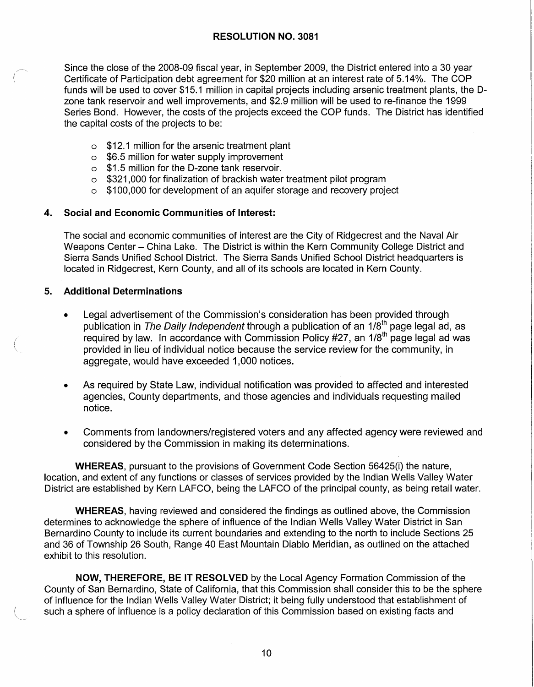Since the close of the 2008-09 fiscal year, in September 2009, the District entered into a 30 year Certificate of Participation debt agreement for \$20 million at an interest rate of 5.14%. The COP funds will be used to cover \$15.1 million in capital projects including arsenic treatment plants, the Ozone tank reservoir and well improvements, and \$2.9 million will be used to re-finance the 1999 Series Bond. However, the costs of the projects exceed the COP funds. The District has identified the capital costs of the projects to be:

- o \$12.1 million for the arsenic treatment plant
- o \$6.5 million for water supply improvement
- o \$1.5 million for the D-zone tank reservoir.
- o \$321,000 for finalization of brackish water treatment pilot program
- o \$100,000 for development of an aquifer storage and recovery project

# **4. Social and Economic Communities of Interest:**

The social and economic communities of interest are the City of Ridgecrest and the Naval Air Weapons Center - China Lake. The District is within the Kern Community College District and Sierra Sands Unified School District. The Sierra Sands Unified School District headquarters is located in Ridgecrest, Kern County, and all of its schools are located in Kern County.

# **5. Additional Determinations**

*(*   $\overline{\phantom{0}}$ 

- Legal advertisement of the Commission's consideration has been provided through publication in *The Daily Independent* through a publication of an 1/8<sup>th</sup> page legal ad, as required by law. In accordance with Commission Policy #27, an 1/8<sup>th</sup> page legal ad was provided in lieu of individual notice because the service review for the community, in aggregate, would have exceeded 1,000 notices.
- As required by State Law, individual notification was provided to affected and interested agencies, County departments, and those agencies and individuals requesting mailed notice.
- Comments from landowners/registered voters and any affected agency were reviewed and considered by the Commission in making its determinations.

**WHEREAS,** pursuant to the provisions of Government Code Section 56425(i) the nature, location, and extent of any functions or classes of services provided by the Indian Wells Valley Water District are established by Kern LAFCO, being the LAFCO of the principal county, as being retail water.

**WHEREAS,** having reviewed and considered the findings as outlined above, the Commission determines to acknowledge the sphere of influence of the Indian Wells Valley Water District in San Bernardino County to include its current boundaries and extending to the north to include Sections 25 and 36 of Township 26 South, Range 40 East Mountain Diablo Meridian, as outlined on the attached exhibit to this resolution.

**NOW, THEREFORE, BE IT RESOLVED** by the Local Agency Formation Commission of the County of San Bernardino, State of California, that this Commission shall consider this to be the sphere of influence for the Indian Wells Valley Water District; it being fully understood that establishment of such a sphere of influence is a policy declaration of this Commission based on existing facts and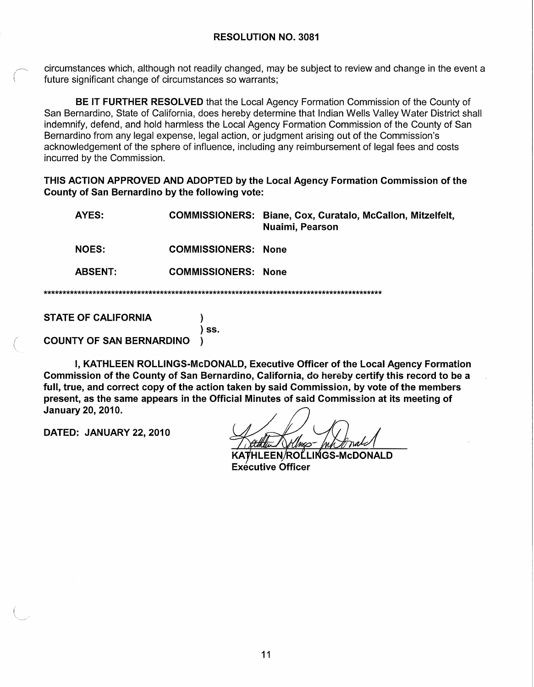circumstances which, although not readily changed, may be subject to review and change in the event a future significant change of circumstances so warrants;

**BE IT FURTHER RESOLVED** that the Local Agency Formation Commission of the County of San Bernardino, State of California, does hereby determine that Indian Wells Valley Water District shall indemnify, defend, and hold harmless the Local Agency Formation Commission of the County of San Bernardino from any legal expense, legal action, or judgment arising out of the Commission's acknowledgement of the sphere of influence, including any reimbursement of legal fees and costs incurred by the Commission.

**THIS ACTION APPROVED AND ADOPTED by the Local Agency Formation Commission of the County of San Bernardino by the following vote:** 

|  | AYES:          |                            | COMMISSIONERS: Biane, Cox, Curatalo, McCallon, Mitzelfelt,<br>Nuaimi, Pearson |  |
|--|----------------|----------------------------|-------------------------------------------------------------------------------|--|
|  | <b>NOES:</b>   | <b>COMMISSIONERS: None</b> |                                                                               |  |
|  | <b>ABSENT:</b> | <b>COMMISSIONERS: None</b> |                                                                               |  |
|  |                |                            |                                                                               |  |

**STATE OF CALIFORNIA** )

( **COUNTY OF SAN BERNARDINO** )

I, **KATHLEEN ROLLINGS-McDONALD, Executive Officer of the Local Agency Formation Commission of the County of San Bernardino, California, do hereby certify this record to be a full, true, and correct copy of the action taken by said Commission, by vote of the members present, as the same appears in the Official Minutes of said Commission at its meeting of January 20, 2010.** 

) **ss.** 

**DATED: JANUARY 22, 2010** 

HLEEN/ROLLINGS-McDONALD **Exécutive Officer**